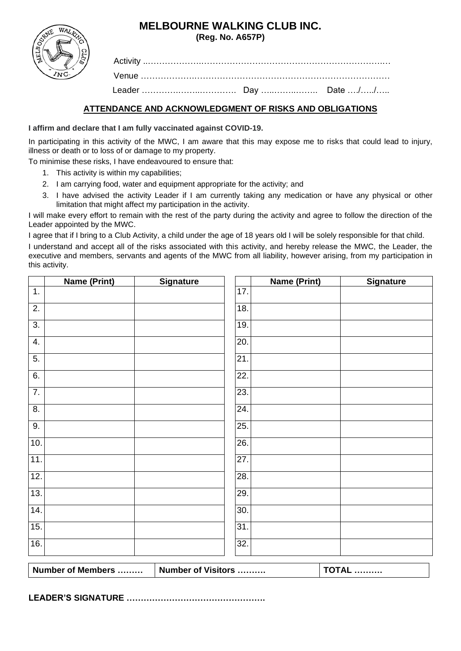# **MELBOURNE WALKING CLUB INC.**

**(Reg. No. A657P)** 

| WALKUN    |
|-----------|
|           |
| AELBOUTER |
| ŘΣ        |
|           |
| ≀nC       |
|           |

Activity ..……………….……………………………………………………….… Venue ……………….…………………………………………………………… Leader ………….……..…………. Day …..……..…….. Date …./…../…..

# **ATTENDANCE AND ACKNOWLEDGMENT OF RISKS AND OBLIGATIONS**

### **I affirm and declare that I am fully vaccinated against COVID-19.**

In participating in this activity of the MWC, I am aware that this may expose me to risks that could lead to injury, illness or death or to loss of or damage to my property.

To minimise these risks, I have endeavoured to ensure that:

- 1. This activity is within my capabilities;
- 2. I am carrying food, water and equipment appropriate for the activity; and
- 3. I have advised the activity Leader if I am currently taking any medication or have any physical or other limitation that might affect my participation in the activity.

I will make every effort to remain with the rest of the party during the activity and agree to follow the direction of the Leader appointed by the MWC.

I agree that if I bring to a Club Activity, a child under the age of 18 years old I will be solely responsible for that child.

I understand and accept all of the risks associated with this activity, and hereby release the MWC, the Leader, the executive and members, servants and agents of the MWC from all liability, however arising, from my participation in this activity.

|                  | <b>Name (Print)</b> | <b>Signature</b> |     | <b>Name (Print)</b> | <b>Signature</b> |
|------------------|---------------------|------------------|-----|---------------------|------------------|
| 1.               |                     |                  | 17. |                     |                  |
| $\overline{2}$ . |                     |                  | 18. |                     |                  |
| $\overline{3}$ . |                     |                  | 19. |                     |                  |
| 4.               |                     |                  | 20. |                     |                  |
| 5.               |                     |                  | 21. |                     |                  |
| 6.               |                     |                  | 22. |                     |                  |
| $\overline{7}$ . |                     |                  | 23. |                     |                  |
| 8.               |                     |                  | 24. |                     |                  |
| 9.               |                     |                  | 25. |                     |                  |
| 10.              |                     |                  | 26. |                     |                  |
| 11.              |                     |                  | 27. |                     |                  |
| 12.              |                     |                  | 28. |                     |                  |
| 13.              |                     |                  | 29. |                     |                  |
| 14.              |                     |                  | 30. |                     |                  |
| 15.              |                     |                  | 31. |                     |                  |
| 16.              |                     |                  | 32. |                     |                  |
|                  |                     |                  |     |                     |                  |

| Number of Members | Number of Visitors | ль ……… |
|-------------------|--------------------|--------|
|                   |                    |        |

**LEADER'S SIGNATURE ………………………………………….**